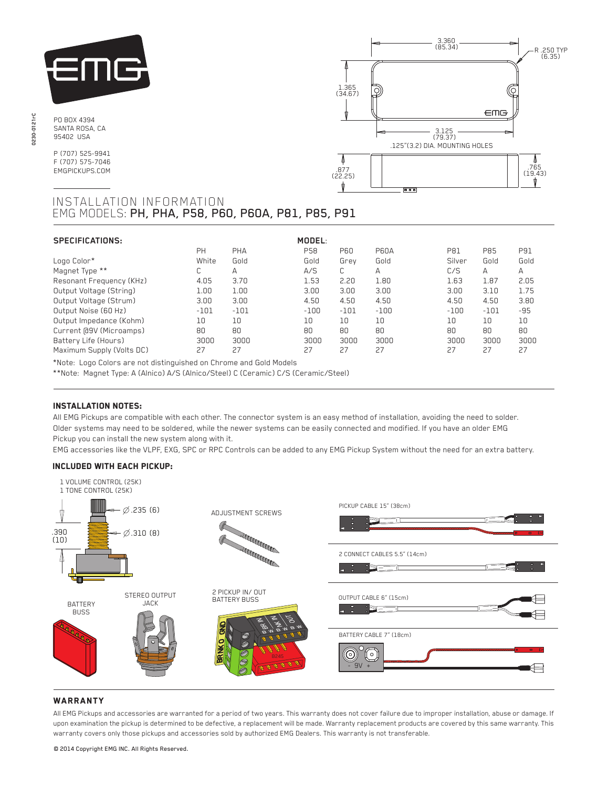

PO BOX 4394 SANTA ROSA, CA 95402 USA

P (707) 525-9941 F (707) 575-7046 EMGPICKUPS.COM



# INSTALLATION INFORMATION EMG MODELS: PH, PHA, P58, P60, P60A, P81, P85, P91

| <b>SPECIFICATIONS:</b>    |        |        | MODEL:     |            |        |            |            |            |
|---------------------------|--------|--------|------------|------------|--------|------------|------------|------------|
|                           | PH     | PHA    | <b>P58</b> | <b>P60</b> | P60A   | <b>P81</b> | <b>P85</b> | <b>P91</b> |
| Logo Color*               | White  | Gold   | Gold       | Grev       | Gold   | Silver     | Gold       | Gold       |
| Magnet Type **            | C      | А      | A/S        |            | А      | C/S        | Α          | А          |
| Resonant Frequency (KHz)  | 4.05   | 3.70   | 1.53       | 2.20       | 1.80   | 1.63       | 1.87       | 2.05       |
| Output Voltage (String)   | 1.00   | 1.00   | 3.00       | 3.00       | 3.00   | 3.00       | 3.10       | 1.75       |
| Output Voltage (Strum)    | 3.00   | 3.00   | 4.50       | 4.50       | 4.50   | 4.50       | 4.50       | 3.80       |
| Output Noise (60 Hz)      | $-101$ | $-101$ | $-100$     | $-101$     | $-100$ | $-100$     | $-101$     | $-95$      |
| Output Impedance (Kohm)   | 10     | 10     | 10         | 10         | 10     | 10         | 10         | 10         |
| Current @9V (Microamps)   | 80     | 80     | 80         | 80         | 80     | 80         | 80         | 80         |
| Battery Life (Hours)      | 3000   | 3000   | 3000       | 3000       | 3000   | 3000       | 3000       | 3000       |
| Maximum Supply (Volts DC) | 27     | 27     | 27         | 27         | 27     | 27         | 27         | 27         |

\*Note: Logo Colors are not distinguished on Chrome and Gold Models

\*\*Note: Magnet Type: A (Alnico) A/S (Alnico/Steel) C (Ceramic) C/S (Ceramic/Steel)

# Installation notes:

All EMG Pickups are compatible with each other. The connector system is an easy method of installation, avoiding the need to solder. Older systems may need to be soldered, while the newer systems can be easily connected and modified. If you have an older EMG Pickup you can install the new system along with it.

EMG accessories like the VLPF, EXG, SPC or RPC Controls can be added to any EMG Pickup System without the need for an extra battery.

### Included with each pickup:



# **WARRANTY**

All EMG Pickups and accessories are warranted for a period of two years. This warranty does not cover failure due to improper installation, abuse or damage. If upon examination the pickup is determined to be defective, a replacement will be made. Warranty replacement products are covered by this same warranty. This warranty covers only those pickups and accessories sold by authorized EMG Dealers. This warranty is not transferable.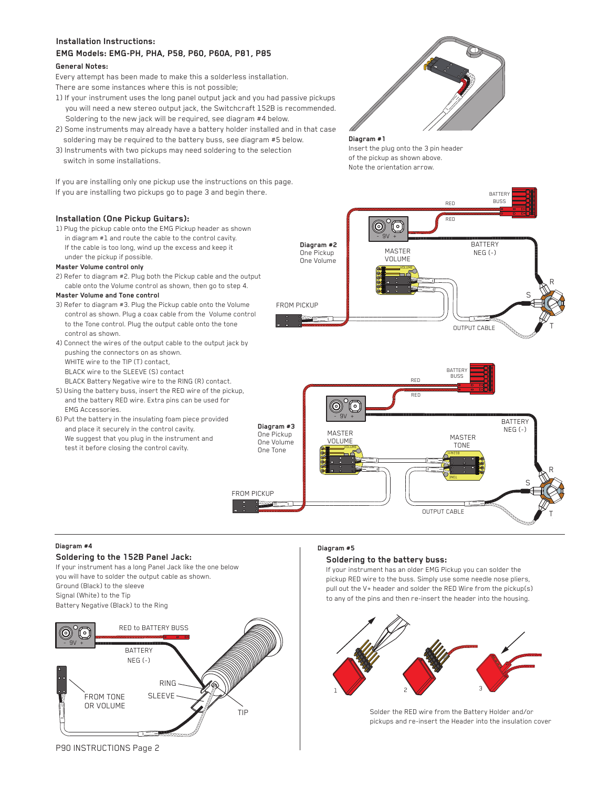# **Installation Instructions:**

# **EMG Models: EMG-PH, PHA, P58, P60, P60A, P81, P85**

# **General Notes:**

Every attempt has been made to make this a solderless installation. There are some instances where this is not possible;

- 1) If your instrument uses the long panel output jack and you had passive pickups you will need a new stereo output jack, the Switchcraft 152B is recommended. Soldering to the new jack will be required, see diagram #4 below.
- 2) Some instruments may already have a battery holder installed and in that case soldering may be required to the battery buss, see diagram #5 below.
- 3) Instruments with two pickups may need soldering to the selection switch in some installations.

If you are installing only one pickup use the instructions on this page. If you are installing two pickups go to page 3 and begin there.

# **Diagram #1**

Insert the plug onto the 3 pin header of the pickup as shown above. Note the orientation arrow.

# **Installation (One Pickup Guitars):**

1) Plug the pickup cable onto the EMG Pickup header as shown in diagram #1 and route the cable to the control cavity. If the cable is too long, wind up the excess and keep it under the pickup if possible.

# **Master Volume control only**

2) Refer to diagram #2. Plug both the Pickup cable and the output cable onto the Volume control as shown, then go to step 4.

### **Master Volume and Tone control**

- 3) Refer to diagram #3. Plug the Pickup cable onto the Volume control as shown. Plug a coax cable from the Volume control to the Tone control. Plug the output cable onto the tone control as shown.
- 4) Connect the wires of the output cable to the output jack by pushing the connectors on as shown. WHITE wire to the TIP (T) contact, BLACK wire to the SLEEVE (S) contact BLACK Battery Negative wire to the RING (R) contact.
- 5) Using the battery buss, insert the RED wire of the pickup, and the battery RED wire. Extra pins can be used for EMG Accessories.
- 6) Put the battery in the insulating foam piece provided and place it securely in the control cavity. We suggest that you plug in the instrument and test it before closing the control cavity.



FROM PICKUP





# **Diagram #4**

# **Soldering to the 152B Panel Jack:**

If your instrument has a long Panel Jack like the one below you will have to solder the output cable as shown. Ground (Black) to the sleeve Signal (White) to the Tip Battery Negative (Black) to the Ring



### **Diagram #5**

# **Soldering to the battery buss:**

If your instrument has an older EMG Pickup you can solder the pickup RED wire to the buss. Simply use some needle nose pliers, pull out the V+ header and solder the RED Wire from the pickup(s) to any of the pins and then re-insert the header into the housing.



Solder the RED wire from the Battery Holder and/or pickups and re-insert the Header into the insulation cover

P90 INSTRUCTIONS Page 2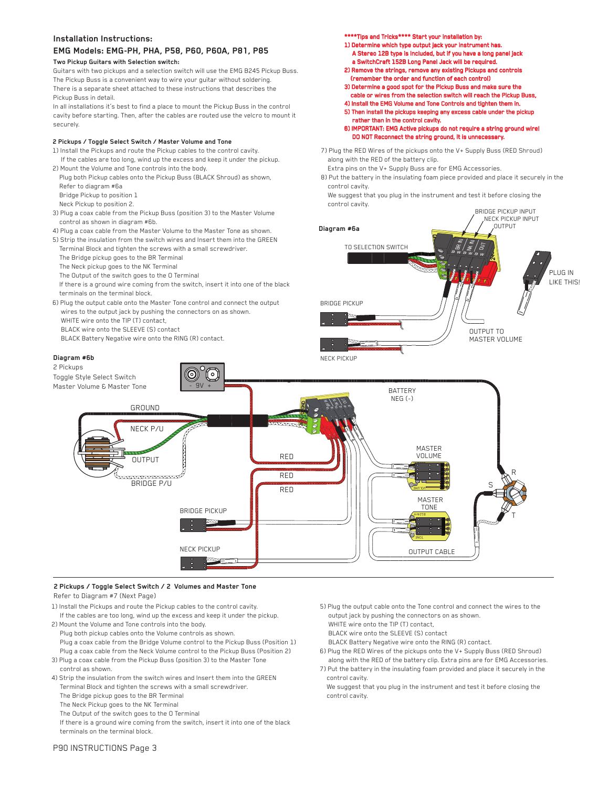## **Installation Instructions:**

# **EMG Models: EMG-PH, PHA, P58, P60, P60A, P81, P85**

## **Two Pickup Guitars with Selection switch:**

Guitars with two pickups and a selection switch will use the EMG B245 Pickup Buss. The Pickup Buss is a convenient way to wire your guitar without soldering. There is a separate sheet attached to these instructions that describes the Pickup Buss in detail.

In all installations it's best to find a place to mount the Pickup Buss in the control cavity before starting. Then, after the cables are routed use the velcro to mount it securely.

### **2 Pickups / Toggle Select Switch / Master Volume and Tone**

- 1) Install the Pickups and route the Pickup cables to the control cavity.
- If the cables are too long, wind up the excess and keep it under the pickup. 2) Mount the Volume and Tone controls into the body.
- Plug both Pickup cables onto the Pickup Buss (BLACK Shroud) as shown, Refer to diagram #6a
- Bridge Pickup to position 1 Neck Pickup to position 2.
- 3) Plug a coax cable from the Pickup Buss (position 3) to the Master Volume control as shown in diagram #6b.
- 4) Plug a coax cable from the Master Volume to the Master Tone as shown.
- 5) Strip the insulation from the switch wires and Insert them into the GREEN Terminal Block and tighten the screws with a small screwdriver.
- The Bridge pickup goes to the BR Terminal
- The Neck pickup goes to the NK Terminal
- The Output of the switch goes to the O Terminal
- If there is a ground wire coming from the switch, insert it into one of the black terminals on the terminal block.
- 6) Plug the output cable onto the Master Tone control and connect the output wires to the output jack by pushing the connectors on as shown. WHITE wire onto the TIP (T) contact,
	- BLACK wire onto the SLEEVE (S) contact BLACK Battery Negative wire onto the RING (R) contact.

### **Diagram #6b**

\*\*\*\*Tips and Tricks\*\*\*\* Start your installation by:

- 1) Determine which type output jack your instrument has. A Stereo 12B type is Included, but if you have a long panel jack a SwitchCraft 152B Long Panel Jack will be required.
- 2) Remove the strings, remove any existing Pickups and controls (remember the order and function of each control)
- 3) Determine a good spot for the Pickup Buss and make sure the cable or wires from the selection switch will reach the Pickup Buss,
- 4) Install the EMG Volume and Tone Controls and tighten them in.
- 5) Then install the pickups keeping any excess cable under the pickup
- rather than in the control cavity.

6) IMPORTANT: EMG Active pickups do not require a string ground wire! DO NOT Reconnect the string ground, it is unnecess

7) Plug the RED Wires of the pickups onto the V+ Supply Buss (RED Shroud) along with the RED of the battery clip.

 Extra pins on the V+ Supply Buss are for EMG Accessories. 8) Put the battery in the insulating foam piece provided and place it securely in the control cavity.

We suggest that you plug in the instrument and test it before closing the control cavity.





### **2 Pickups / Toggle Select Switch / 2 Volumes and Master Tone** Refer to Diagram #7 (Next Page)

- 1) Install the Pickups and route the Pickup cables to the control cavity. If the cables are too long, wind up the excess and keep it under the pickup.
- 2) Mount the Volume and Tone controls into the body. Plug both pickup cables onto the Volume controls as shown.
	- Plug a coax cable from the Bridge Volume control to the Pickup Buss (Position 1) Plug a coax cable from the Neck Volume control to the Pickup Buss (Position 2)
- 3) Plug a coax cable from the Pickup Buss (position 3) to the Master Tone control as shown.
- 4) Strip the insulation from the switch wires and Insert them into the GREEN Terminal Block and tighten the screws with a small screwdriver. The Bridge pickup goes to the BR Terminal
	- The Neck Pickup goes to the NK Terminal
	- The Output of the switch goes to the O Terminal

 If there is a ground wire coming from the switch, insert it into one of the black terminals on the terminal block.

- 5) Plug the output cable onto the Tone control and connect the wires to the output jack by pushing the connectors on as shown.
- WHITE wire onto the TIP (T) contact,
- BLACK wire onto the SLEEVE (S) contact
- BLACK Battery Negative wire onto the RING (R) contact.
- 6) Plug the RED Wires of the pickups onto the V+ Supply Buss (RED Shroud) along with the RED of the battery clip. Extra pins are for EMG Accessories.
- 7) Put the battery in the insulating foam provided and place it securely in the control cavity.
- We suggest that you plug in the instrument and test it before closing the control cavity.